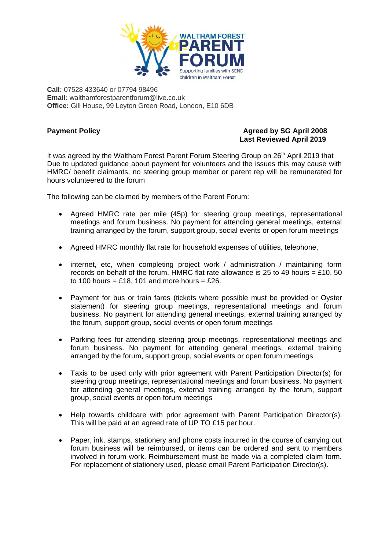

**Call:** 07528 433640 or 07794 98496 **Email:** walthamforestparentforum@live.co.uk **Office:** Gill House, 99 Leyton Green Road, London, E10 6DB

# **Payment Policy Agreed by SG April 2008 Last Reviewed April 2019**

It was agreed by the Waltham Forest Parent Forum Steering Group on 26th April 2019 that Due to updated guidance about payment for volunteers and the issues this may cause with HMRC/ benefit claimants, no steering group member or parent rep will be remunerated for hours volunteered to the forum

The following can be claimed by members of the Parent Forum:

- Agreed HMRC rate per mile (45p) for steering group meetings, representational meetings and forum business. No payment for attending general meetings, external training arranged by the forum, support group, social events or open forum meetings
- Agreed HMRC monthly flat rate for household expenses of utilities, telephone,
- internet, etc, when completing project work / administration / maintaining form records on behalf of the forum. HMRC flat rate allowance is 25 to 49 hours = £10, 50 to 100 hours = £18, 101 and more hours = £26.
- Payment for bus or train fares (tickets where possible must be provided or Oyster statement) for steering group meetings, representational meetings and forum business. No payment for attending general meetings, external training arranged by the forum, support group, social events or open forum meetings
- Parking fees for attending steering group meetings, representational meetings and forum business. No payment for attending general meetings, external training arranged by the forum, support group, social events or open forum meetings
- Taxis to be used only with prior agreement with Parent Participation Director(s) for steering group meetings, representational meetings and forum business. No payment for attending general meetings, external training arranged by the forum, support group, social events or open forum meetings
- Help towards childcare with prior agreement with Parent Participation Director(s). This will be paid at an agreed rate of UP TO £15 per hour.
- Paper, ink, stamps, stationery and phone costs incurred in the course of carrying out forum business will be reimbursed, or items can be ordered and sent to members involved in forum work. Reimbursement must be made via a completed claim form. For replacement of stationery used, please email Parent Participation Director(s).